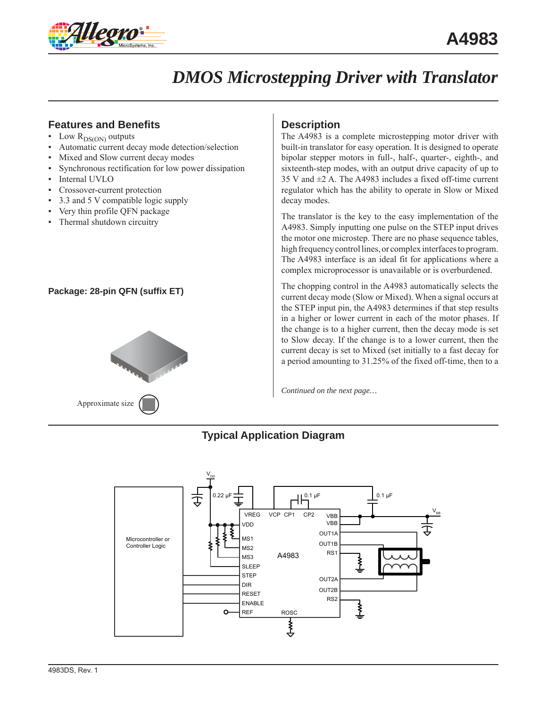

### **Features and Benefits**

- $\blacksquare$  Low  $R_{DS(ON)}$  outputs
- Automatic current decay mode detection/selection
- Mixed and Slow current decay modes
- Synchronous rectification for low power dissipation
- Internal UVLO
- Crossover-current protection
- 3.3 and 5 V compatible logic supply
- Very thin profile QFN package
- Thermal shutdown circuitry

#### **Package: 28-pin QFN (suffix ET)**



### **Description**

The A4983 is a complete microstepping motor driver with built-in translator for easy operation. It is designed to operate bipolar stepper motors in full-, half-, quarter-, eighth-, and sixteenth-step modes, with an output drive capacity of up to 35 V and ±2 A. The A4983 includes a fixed off-time current regulator which has the ability to operate in Slow or Mixed decay modes.

The translator is the key to the easy implementation of the A4983. Simply inputting one pulse on the STEP input drives the motor one microstep. There are no phase sequence tables, high frequency control lines, or complex interfaces to program. The A4983 interface is an ideal fit for applications where a complex microprocessor is unavailable or is overburdened.

The chopping control in the A4983 automatically selects the current decay mode (Slow or Mixed). When a signal occurs at the STEP input pin, the A4983 determines if that step results in a higher or lower current in each of the motor phases. If the change is to a higher current, then the decay mode is set to Slow decay. If the change is to a lower current, then the current decay is set to Mixed (set initially to a fast decay for a period amounting to 31.25% of the fixed off-time, then to a

*Continued on the next page…*

### **Typical Application Diagram**

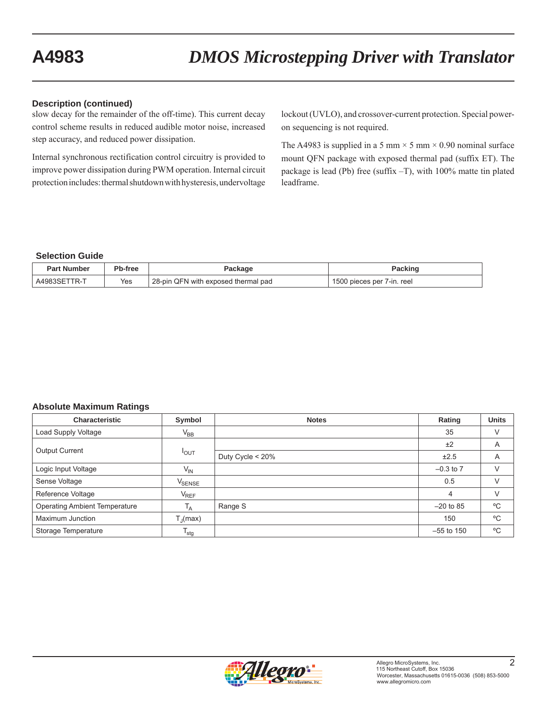#### **Description (continued)**

slow decay for the remainder of the off-time). This current decay control scheme results in reduced audible motor noise, increased step accuracy, and reduced power dissipation.

Internal synchronous rectification control circuitry is provided to improve power dissipation during PWM operation. Internal circuit protection includes: thermal shutdown with hysteresis, undervoltage lockout (UVLO), and crossover-current protection. Special poweron sequencing is not required.

The A4983 is supplied in a 5 mm  $\times$  5 mm  $\times$  0.90 nominal surface mount QFN package with exposed thermal pad (suffix ET). The package is lead (Pb) free (suffix –T), with 100% matte tin plated leadframe.

#### **Selection Guide**

| <b>Part Number</b> | Pb-free | Package                             | Packing                    |
|--------------------|---------|-------------------------------------|----------------------------|
| A4983SET<br>TR-    | Yes     | 28-pin QFN with exposed thermal pad | 1500 pieces per 7-in. reel |

#### **Absolute Maximum Ratings**

| <b>Characteristic</b>                | Symbol             | <b>Notes</b>     | Rating         | <b>Units</b> |
|--------------------------------------|--------------------|------------------|----------------|--------------|
| Load Supply Voltage                  | $V_{BB}$           |                  | 35             | V            |
|                                      |                    |                  | ±2             | A            |
| <b>Output Current</b>                | $I_{OUT}$          | Duty Cycle < 20% | ±2.5           | A            |
| Logic Input Voltage                  | $V_{IN}$           |                  | $-0.3$ to $7$  |              |
| Sense Voltage                        | V <sub>SENSE</sub> |                  | 0.5            | V            |
| Reference Voltage                    | $V_{REF}$          |                  | $\overline{4}$ | V            |
| <b>Operating Ambient Temperature</b> | T <sub>A</sub>     | Range S          | $-20$ to 85    | °C           |
| Maximum Junction                     | $T_{\rm d}$ (max)  |                  | 150            | °C           |
| Storage Temperature                  | $T_{\text{stg}}$   |                  | $-55$ to 150   | $^{\circ}$ C |

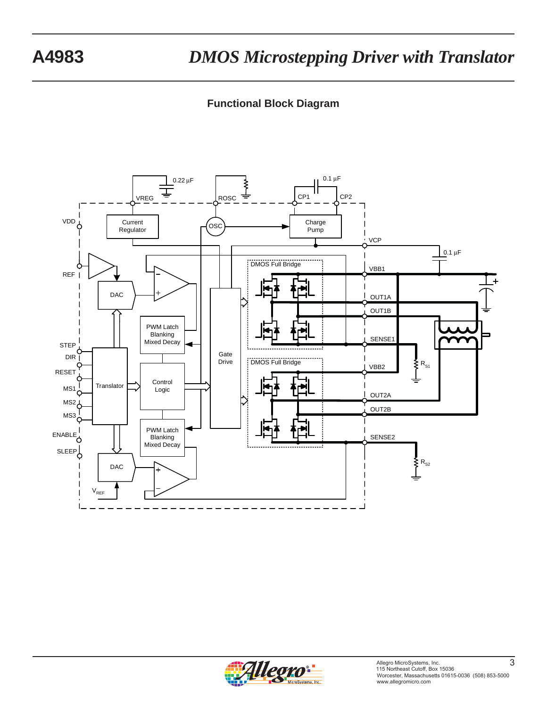### **Functional Block Diagram**



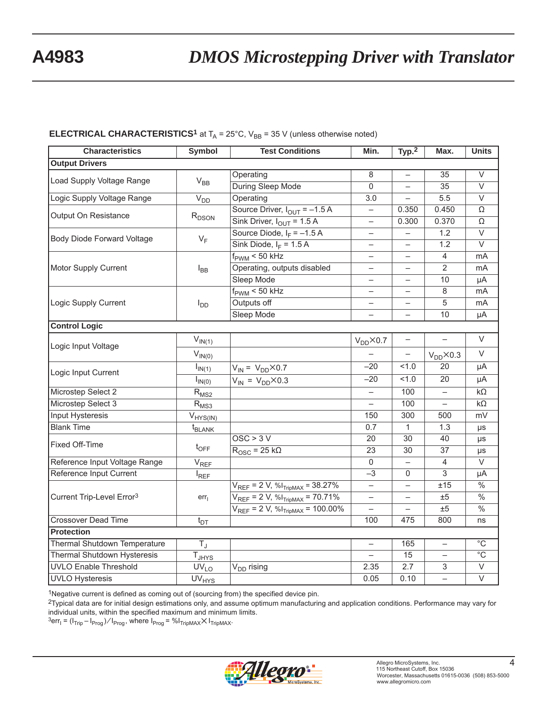#### **ELECTRICAL CHARACTERISTICS<sup>1</sup>** at  $T_A = 25^\circ$ C,  $V_{BB} = 35$  V (unless otherwise noted)

| <b>Characteristics</b>                | <b>Symbol</b>          | <b>Test Conditions</b>                     | Min.                     | Typ. <sup>2</sup> | Max.                  | <b>Units</b>             |
|---------------------------------------|------------------------|--------------------------------------------|--------------------------|-------------------|-----------------------|--------------------------|
| <b>Output Drivers</b>                 |                        |                                            |                          |                   |                       |                          |
| Load Supply Voltage Range             |                        | Operating                                  | 8                        |                   | 35                    | $\vee$                   |
|                                       | $\rm V_{BB}$           | During Sleep Mode                          | $\overline{0}$           |                   | $\overline{35}$       | $\overline{\vee}$        |
| Logic Supply Voltage Range            | V <sub>DD</sub>        | Operating                                  | $\overline{3.0}$         |                   | 5.5                   | $\overline{\vee}$        |
| Output On Resistance                  |                        | Source Driver, $I_{OUT} = -1.5 A$          | $\overline{\phantom{0}}$ | 0.350             | 0.450                 | $\Omega$                 |
|                                       | $R_{DSON}$             | Sink Driver, $I_{OUT} = 1.5 A$             |                          | 0.300             | 0.370                 | Ω                        |
| Body Diode Forward Voltage            | $V_F$                  | Source Diode, $I_F = -1.5 A$               |                          |                   | 1.2                   | $\overline{\vee}$        |
|                                       |                        | Sink Diode, $I_F = 1.5 A$                  |                          |                   | 1.2                   | $\overline{\vee}$        |
|                                       |                        | $f_{\text{PWM}}$ < 50 kHz                  |                          |                   | $\overline{4}$        | mA                       |
| Motor Supply Current                  | $I_{BB}$               | Operating, outputs disabled                |                          |                   | $\overline{2}$        | mA                       |
|                                       |                        | Sleep Mode                                 |                          |                   | 10                    | μA                       |
|                                       |                        | $f_{\text{PWM}}$ < 50 kHz                  |                          |                   | 8                     | mA                       |
| Logic Supply Current                  | $I_{DD}$               | Outputs off                                |                          |                   | 5                     | mA                       |
|                                       |                        | Sleep Mode                                 |                          |                   | 10                    | μA                       |
| <b>Control Logic</b>                  |                        |                                            |                          |                   |                       |                          |
| Logic Input Voltage                   | $V_{IN(1)}$            |                                            | $V_{DD}$ $\times$ 0.7    |                   |                       | $\vee$                   |
|                                       | $V_{IN(0)}$            |                                            |                          |                   | $V_{DD}$ $\times$ 0.3 | V                        |
| Logic Input Current                   | $I_{IN(1)}$            | $V_{IN} = V_{DD} \times 0.7$               | $-20$                    | 1.0               | $\overline{20}$       | μA                       |
|                                       | $I_{IN(0)}$            | $V_{\text{IN}} = V_{\text{DD}} \times 0.3$ | $-20$                    | 1.0               | 20                    | μA                       |
| Microstep Select 2                    | $R_{MS2}$              |                                            |                          | 100               |                       | $k\Omega$                |
| Microstep Select 3                    | $R_{MS3}$              |                                            |                          | 100               |                       | $k\Omega$                |
| Input Hysteresis                      | $V_{HYS(IN)}$          |                                            | 150                      | 300               | 500                   | mV                       |
| <b>Blank Time</b>                     | $t_{BLANK}$            |                                            | 0.7                      | $\mathbf{1}$      | 1.3                   | μs                       |
| Fixed Off-Time                        |                        | OSC > 3V                                   | $\overline{20}$          | $\overline{30}$   | 40                    | μs                       |
|                                       | $t_{\text{OFF}}$       | $R_{\text{OSC}}$ = 25 k $\Omega$           | 23                       | 30                | $\overline{37}$       | μs                       |
| Reference Input Voltage Range         | $V_{REF}$              |                                            | $\Omega$                 |                   | 4                     | $\vee$                   |
| Reference Input Current               | $I_{REF}$              |                                            | $-3$                     | $\Omega$          | 3                     | μA                       |
|                                       |                        | $V_{REF}$ = 2 V, % $I_{TripMAX}$ = 38.27%  |                          |                   | ±15                   | $\frac{0}{6}$            |
| Current Trip-Level Error <sup>3</sup> | err <sub>1</sub>       | $V_{REF}$ = 2 V, % $I_{TripMAX}$ = 70.71%  |                          |                   | ±5                    | $\frac{0}{6}$            |
|                                       |                        | $V_{REF}$ = 2 V, % $I_{TripMAX}$ = 100.00% |                          |                   | ±5                    | $\overline{\frac{0}{6}}$ |
| <b>Crossover Dead Time</b>            | $t_{DT}$               |                                            | 100                      | 475               | 800                   | ns                       |
| <b>Protection</b>                     |                        |                                            |                          |                   |                       |                          |
| Thermal Shutdown Temperature          | $\overline{T_{\rm J}}$ |                                            | $\equiv$                 | 165               | $\equiv$              | $\overline{C}$           |
| Thermal Shutdown Hysteresis           | $T_{JHYS}$             |                                            | $\equiv$                 | 15                | $\equiv$              | $\overline{C}$           |
| <b>UVLO Enable Threshold</b>          | $\overline{UV}_{LO}$   | V <sub>DD</sub> rising                     | 2.35                     | 2.7               | 3                     | $\overline{\vee}$        |
| <b>UVLO Hysteresis</b>                | UV <sub>HYS</sub>      |                                            | 0.05                     | 0.10              | $\equiv$              | $\overline{\vee}$        |

1Negative current is defined as coming out of (sourcing from) the specified device pin.

2Typical data are for initial design estimations only, and assume optimum manufacturing and application conditions. Performance may vary for individual units, within the specified maximum and minimum limits.

 $\beta$ err<sub>I</sub> = (I<sub>Trip</sub> – I<sub>Prog</sub>)/I<sub>Prog</sub>, where I<sub>Prog</sub> = %I<sub>TripMAX</sub>XI<sub>TripMAX</sub>.

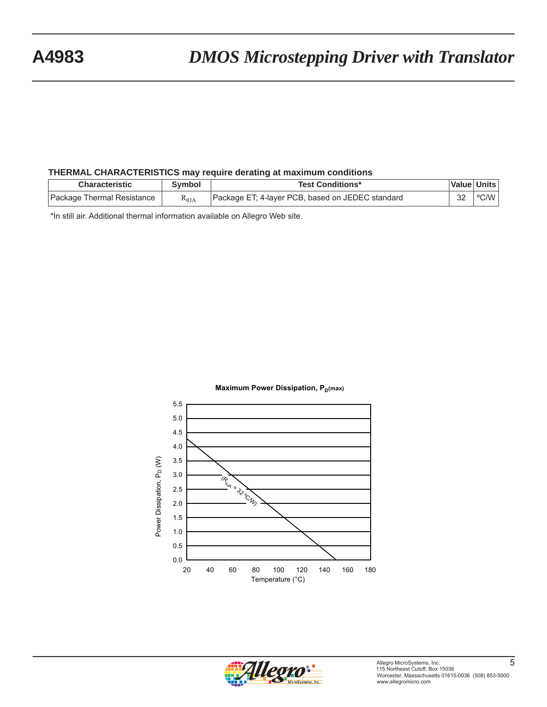#### **THERMAL CHARACTERISTICS may require derating at maximum conditions**

| <b>Characteristic</b>      | Svmbol          | <b>Test Conditions*</b>                          |    | Value   Units |
|----------------------------|-----------------|--------------------------------------------------|----|---------------|
| Package Thermal Resistance | $R_{\theta JA}$ | Package ET; 4-layer PCB, based on JEDEC standard | າາ | ∣ °C/W        |

\*In still air. Additional thermal information available on Allegro Web site.





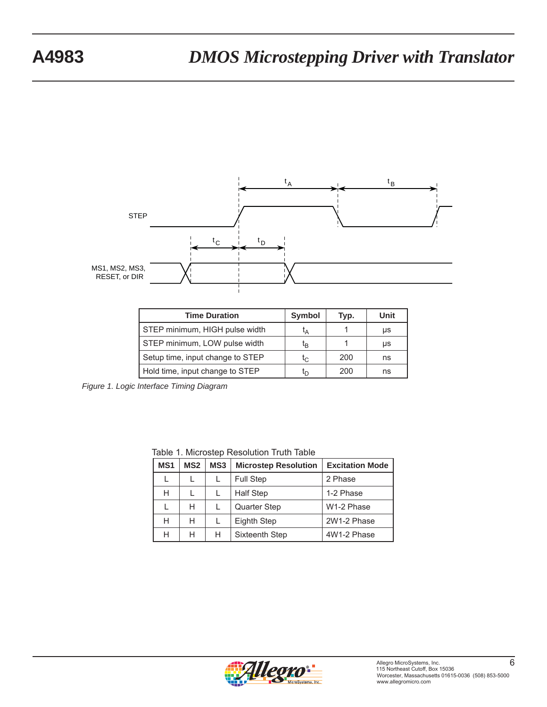

| <b>Time Duration</b>             | <b>Symbol</b>  | Typ. | Unit |
|----------------------------------|----------------|------|------|
| STEP minimum, HIGH pulse width   | tд             |      | μs   |
| STEP minimum, LOW pulse width    | τ <sub>Β</sub> |      | μs   |
| Setup time, input change to STEP | $t_{\rm C}$    | 200  | ns   |
| Hold time, input change to STEP  | ւր             | 200  | ns   |

*Figure 1. Logic Interface Timing Diagram*

Table 1. Microstep Resolution Truth Table

| MS <sub>1</sub> | MS <sub>2</sub> | MS <sub>3</sub> | <b>Microstep Resolution</b> | <b>Excitation Mode</b> |
|-----------------|-----------------|-----------------|-----------------------------|------------------------|
|                 |                 |                 | <b>Full Step</b>            | 2 Phase                |
| Н               |                 |                 | <b>Half Step</b>            | 1-2 Phase              |
|                 | Н               |                 | <b>Quarter Step</b>         | W1-2 Phase             |
| Н               | Н               |                 | Eighth Step                 | 2W1-2 Phase            |
| Н               | Н               | н               | Sixteenth Step              | 4W1-2 Phase            |

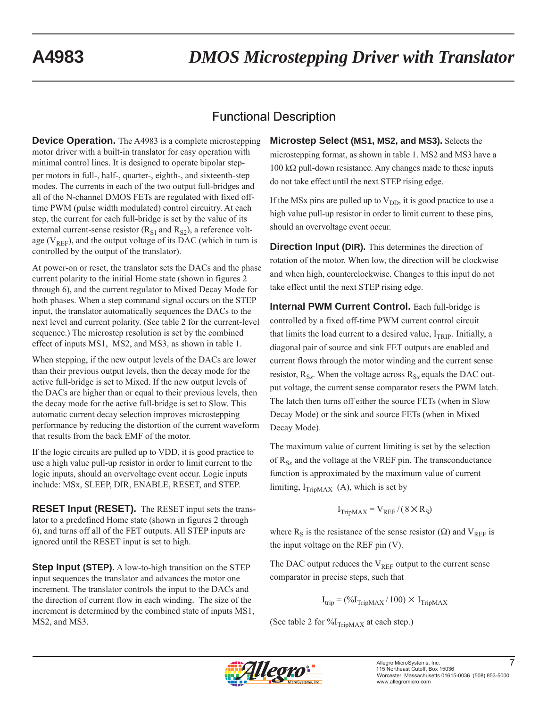## Functional Description

**Device Operation.** The A4983 is a complete microstepping motor driver with a built-in translator for easy operation with minimal control lines. It is designed to operate bipolar stepper motors in full-, half-, quarter-, eighth-, and sixteenth-step modes. The currents in each of the two output full-bridges and all of the N-channel DMOS FETs are regulated with fixed offtime PWM (pulse width modulated) control circuitry. At each step, the current for each full-bridge is set by the value of its external current-sense resistor  $(R_{S1}$  and  $R_{S2})$ , a reference voltage ( $V_{REF}$ ), and the output voltage of its DAC (which in turn is controlled by the output of the translator).

At power-on or reset, the translator sets the DACs and the phase current polarity to the initial Home state (shown in figures 2 through 6), and the current regulator to Mixed Decay Mode for both phases. When a step command signal occurs on the STEP input, the translator automatically sequences the DACs to the next level and current polarity. (See table 2 for the current-level sequence.) The microstep resolution is set by the combined effect of inputs MS1, MS2, and MS3, as shown in table 1.

When stepping, if the new output levels of the DACs are lower than their previous output levels, then the decay mode for the active full-bridge is set to Mixed. If the new output levels of the DACs are higher than or equal to their previous levels, then the decay mode for the active full-bridge is set to Slow. This automatic current decay selection improves microstepping performance by reducing the distortion of the current waveform that results from the back EMF of the motor.

If the logic circuits are pulled up to VDD, it is good practice to use a high value pull-up resistor in order to limit current to the logic inputs, should an overvoltage event occur. Logic inputs include: MSx, SLEEP, DIR, ENABLE, RESET, and STEP.

**RESET Input (RESET).** The RESET input sets the translator to a predefined Home state (shown in figures 2 through 6), and turns off all of the FET outputs. All STEP inputs are ignored until the RESET input is set to high.

**Step Input (STEP).** A low-to-high transition on the STEP input sequences the translator and advances the motor one increment. The translator controls the input to the DACs and the direction of current flow in each winding. The size of the increment is determined by the combined state of inputs MS1, MS2, and MS3.

**Microstep Select (MS1, MS2, and MS3).** Selects the microstepping format, as shown in table 1. MS2 and MS3 have a  $100 \text{ k}\Omega$  pull-down resistance. Any changes made to these inputs do not take effect until the next STEP rising edge.

If the MSx pins are pulled up to  $V_{DD}$ , it is good practice to use a high value pull-up resistor in order to limit current to these pins, should an overvoltage event occur.

**Direction Input (DIR).** This determines the direction of rotation of the motor. When low, the direction will be clockwise and when high, counterclockwise. Changes to this input do not take effect until the next STEP rising edge.

**Internal PWM Current Control.** Each full-bridge is controlled by a fixed off-time PWM current control circuit that limits the load current to a desired value,  $I_{TRIP}$ . Initially, a diagonal pair of source and sink FET outputs are enabled and current flows through the motor winding and the current sense resistor,  $R_{Sx}$ . When the voltage across  $R_{Sx}$  equals the DAC output voltage, the current sense comparator resets the PWM latch. The latch then turns off either the source FETs (when in Slow Decay Mode) or the sink and source FETs (when in Mixed Decay Mode).

The maximum value of current limiting is set by the selection of  $R_{S_x}$  and the voltage at the VREF pin. The transconductance function is approximated by the maximum value of current limiting,  $I_{TribMAX}$  (A), which is set by

$$
I_{TripMAX} = V_{REF} / (8 \times R_S)
$$

where R<sub>S</sub> is the resistance of the sense resistor ( $\Omega$ ) and V<sub>REF</sub> is the input voltage on the REF pin (V).

The DAC output reduces the  $V_{REF}$  output to the current sense comparator in precise steps, such that

 $I_{\text{trip}} = (\%I_{\text{TripMAX}}/100) \times I_{\text{TripMAX}}$ 

(See table 2 for  $\%I_{TripMAX}$  at each step.)

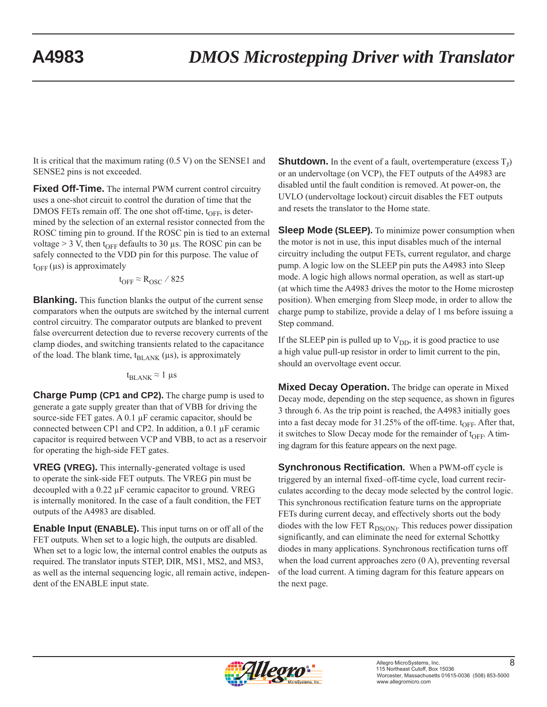It is critical that the maximum rating (0.5 V) on the SENSE1 and SENSE2 pins is not exceeded.

**Fixed Off-Time.** The internal PWM current control circuitry uses a one-shot circuit to control the duration of time that the DMOS FETs remain off. The one shot off-time,  $t_{\text{OFF}}$ , is determined by the selection of an external resistor connected from the ROSC timing pin to ground. If the ROSC pin is tied to an external voltage > 3 V, then t<sub>OFF</sub> defaults to 30 μs. The ROSC pin can be safely connected to the VDD pin for this purpose. The value of  $t_{\text{OFF}}$  ( $\mu$ s) is approximately

$$
t_{\text{OFF}} \approx R_{\text{OSC}} / 825
$$

**Blanking.** This function blanks the output of the current sense comparators when the outputs are switched by the internal current control circuitry. The comparator outputs are blanked to prevent false overcurrent detection due to reverse recovery currents of the clamp diodes, and switching transients related to the capacitance of the load. The blank time,  $t_{BLANK}$  ( $\mu$ s), is approximately

#### $t_{BLANK} \approx 1 \ \mu s$

**Charge Pump (CP1 and CP2).** The charge pump is used to generate a gate supply greater than that of VBB for driving the source-side FET gates. A 0.1 μF ceramic capacitor, should be connected between CP1 and CP2. In addition, a 0.1 μF ceramic capacitor is required between VCP and VBB, to act as a reservoir for operating the high-side FET gates.

**VREG (VREG).** This internally-generated voltage is used to operate the sink-side FET outputs. The VREG pin must be decoupled with a 0.22 μF ceramic capacitor to ground. VREG is internally monitored. In the case of a fault condition, the FET outputs of the A4983 are disabled.

**Enable Input (ENABLE).** This input turns on or off all of the FET outputs. When set to a logic high, the outputs are disabled. When set to a logic low, the internal control enables the outputs as required. The translator inputs STEP, DIR, MS1, MS2, and MS3, as well as the internal sequencing logic, all remain active, independent of the ENABLE input state.

**Shutdown.** In the event of a fault, overtemperature (excess  $T<sub>I</sub>$ ) or an undervoltage (on VCP), the FET outputs of the A4983 are disabled until the fault condition is removed. At power-on, the UVLO (undervoltage lockout) circuit disables the FET outputs and resets the translator to the Home state.

**Sleep Mode (SLEEP).** To minimize power consumption when the motor is not in use, this input disables much of the internal circuitry including the output FETs, current regulator, and charge pump. A logic low on the SLEEP pin puts the A4983 into Sleep mode. A logic high allows normal operation, as well as start-up (at which time the A4983 drives the motor to the Home microstep position). When emerging from Sleep mode, in order to allow the charge pump to stabilize, provide a delay of 1 ms before issuing a Step command.

If the SLEEP pin is pulled up to  $V_{DD}$ , it is good practice to use a high value pull-up resistor in order to limit current to the pin, should an overvoltage event occur.

**Mixed Decay Operation.** The bridge can operate in Mixed Decay mode, depending on the step sequence, as shown in figures 3 through 6. As the trip point is reached, the A4983 initially goes into a fast decay mode for  $31.25\%$  of the off-time.  $t_{OFF}$ . After that, it switches to Slow Decay mode for the remainder of  $t_{OFF}$ . A timing dagram for this feature appears on the next page.

**Synchronous Rectification.** When a PWM-off cycle is triggered by an internal fixed–off-time cycle, load current recirculates according to the decay mode selected by the control logic. This synchronous rectification feature turns on the appropriate FETs during current decay, and effectively shorts out the body diodes with the low FET  $R_{DS(ON)}$ . This reduces power dissipation significantly, and can eliminate the need for external Schottky diodes in many applications. Synchronous rectification turns off when the load current approaches zero (0 A), preventing reversal of the load current. A timing dagram for this feature appears on the next page.

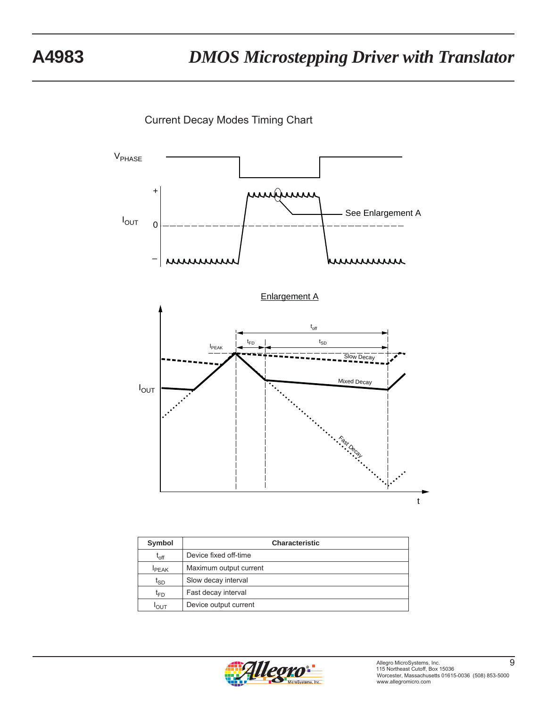Current Decay Modes Timing Chart



| Symbol          | <b>Characteristic</b>  |  |  |  |  |  |
|-----------------|------------------------|--|--|--|--|--|
| $t_{off}$       | Device fixed off-time  |  |  |  |  |  |
| <b>IPEAK</b>    | Maximum output current |  |  |  |  |  |
| t <sub>SD</sub> | Slow decay interval    |  |  |  |  |  |
| t <sub>FD</sub> | Fast decay interval    |  |  |  |  |  |
| $I_{OUT}$       | Device output current  |  |  |  |  |  |

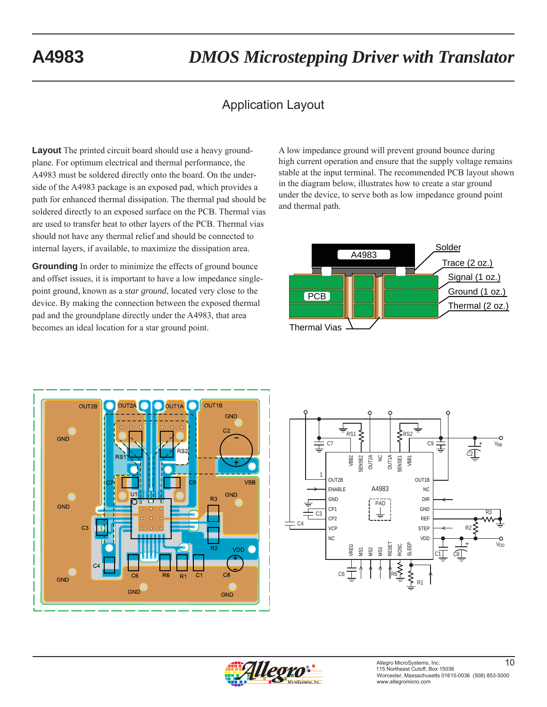### Application Layout

**Layout** The printed circuit board should use a heavy groundplane. For optimum electrical and thermal performance, the A4983 must be soldered directly onto the board. On the underside of the A4983 package is an exposed pad, which provides a path for enhanced thermal dissipation. The thermal pad should be soldered directly to an exposed surface on the PCB. Thermal vias are used to transfer heat to other layers of the PCB. Thermal vias should not have any thermal relief and should be connected to internal layers, if available, to maximize the dissipation area.

**Grounding** In order to minimize the effects of ground bounce and offset issues, it is important to have a low impedance singlepoint ground, known as a *star ground*, located very close to the device. By making the connection between the exposed thermal pad and the groundplane directly under the A4983, that area becomes an ideal location for a star ground point.

A low impedance ground will prevent ground bounce during high current operation and ensure that the supply voltage remains stable at the input terminal. The recommended PCB layout shown in the diagram below, illustrates how to create a star ground under the device, to serve both as low impedance ground point and thermal path.







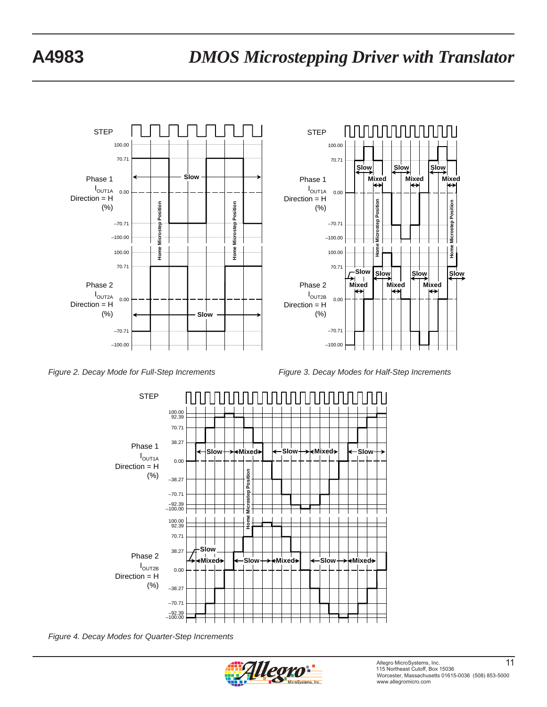

*Figure 2. Decay Mode for Full-Step Increments Figure 3. Decay Modes for Half-Step Increments*



*Figure 4. Decay Modes for Quarter-Step Increments*

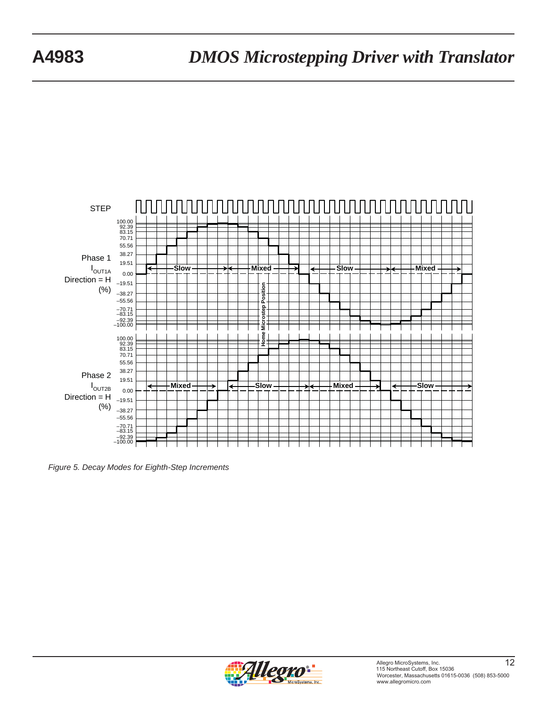

*Figure 5. Decay Modes for Eighth-Step Increments*

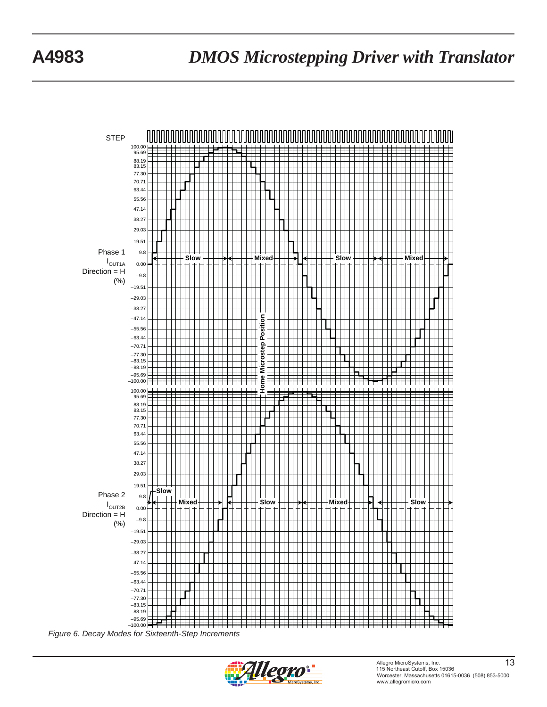

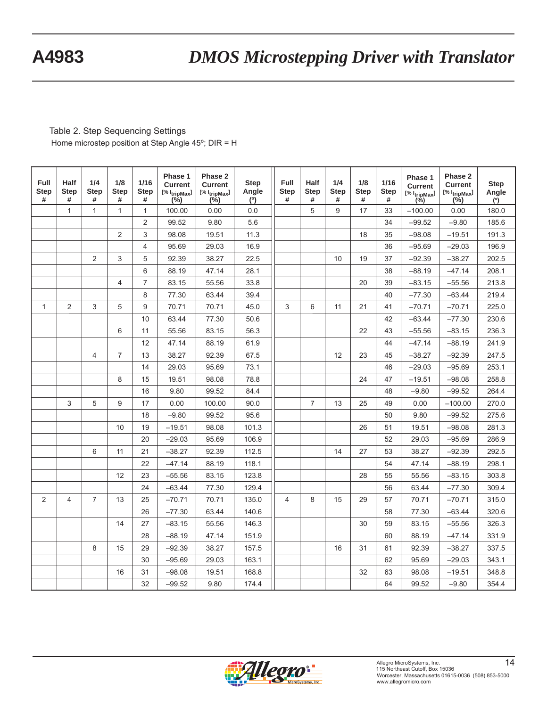Table 2. Step Sequencing Settings Home microstep position at Step Angle 45º; DIR = H

| Full<br><b>Step</b><br># | <b>Half</b><br><b>Step</b><br># | 1/4<br><b>Step</b><br># | 1/8<br><b>Step</b><br># | 1/16<br><b>Step</b><br># | Phase 1<br><b>Current</b><br>$[% 1_{tripMax}]$<br>$(\% )$ | Phase 2<br><b>Current</b><br>$[% 1_{tripMax}]$<br>$(\% )$ | <b>Step</b><br>Angle<br>(°) | Full<br><b>Step</b><br># | <b>Half</b><br><b>Step</b><br># | 1/4<br><b>Step</b><br># | 1/8<br><b>Step</b><br># | 1/16<br><b>Step</b><br># | Phase 1<br><b>Current</b><br>[% I <sub>tripMax</sub> ]<br>$(\%)$ | Phase 2<br><b>Current</b><br>$[% 1_{tripMax}]$<br>$(\%)$ | <b>Step</b><br>Angle<br>(°) |
|--------------------------|---------------------------------|-------------------------|-------------------------|--------------------------|-----------------------------------------------------------|-----------------------------------------------------------|-----------------------------|--------------------------|---------------------------------|-------------------------|-------------------------|--------------------------|------------------------------------------------------------------|----------------------------------------------------------|-----------------------------|
|                          | $\mathbf{1}$                    | $\mathbf{1}$            | 1                       | $\mathbf{1}$             | 100.00                                                    | 0.00                                                      | 0.0                         |                          | 5                               | 9                       | 17                      | 33                       | $-100.00$                                                        | 0.00                                                     | 180.0                       |
|                          |                                 |                         |                         | $\overline{2}$           | 99.52                                                     | 9.80                                                      | 5.6                         |                          |                                 |                         |                         | 34                       | $-99.52$                                                         | $-9.80$                                                  | 185.6                       |
|                          |                                 |                         | 2                       | 3                        | 98.08                                                     | 19.51                                                     | 11.3                        |                          |                                 |                         | 18                      | 35                       | $-98.08$                                                         | $-19.51$                                                 | 191.3                       |
|                          |                                 |                         |                         | $\overline{\mathbf{4}}$  | 95.69                                                     | 29.03                                                     | 16.9                        |                          |                                 |                         |                         | 36                       | $-95.69$                                                         | $-29.03$                                                 | 196.9                       |
|                          |                                 | $\overline{2}$          | 3                       | 5                        | 92.39                                                     | 38.27                                                     | 22.5                        |                          |                                 | 10                      | 19                      | 37                       | $-92.39$                                                         | $-38.27$                                                 | 202.5                       |
|                          |                                 |                         |                         | 6                        | 88.19                                                     | 47.14                                                     | 28.1                        |                          |                                 |                         |                         | 38                       | $-88.19$                                                         | $-47.14$                                                 | 208.1                       |
|                          |                                 |                         | 4                       | 7                        | 83.15                                                     | 55.56                                                     | 33.8                        |                          |                                 |                         | 20                      | 39                       | $-83.15$                                                         | $-55.56$                                                 | 213.8                       |
|                          |                                 |                         |                         | 8                        | 77.30                                                     | 63.44                                                     | 39.4                        |                          |                                 |                         |                         | 40                       | $-77.30$                                                         | $-63.44$                                                 | 219.4                       |
| $\mathbf{1}$             | 2                               | 3                       | 5                       | 9                        | 70.71                                                     | 70.71                                                     | 45.0                        | 3                        | 6                               | 11                      | 21                      | 41                       | $-70.71$                                                         | $-70.71$                                                 | 225.0                       |
|                          |                                 |                         |                         | 10                       | 63.44                                                     | 77.30                                                     | 50.6                        |                          |                                 |                         |                         | 42                       | $-63.44$                                                         | $-77.30$                                                 | 230.6                       |
|                          |                                 |                         | 6                       | 11                       | 55.56                                                     | 83.15                                                     | 56.3                        |                          |                                 |                         | 22                      | 43                       | $-55.56$                                                         | $-83.15$                                                 | 236.3                       |
|                          |                                 |                         |                         | 12                       | 47.14                                                     | 88.19                                                     | 61.9                        |                          |                                 |                         |                         | 44                       | $-47.14$                                                         | $-88.19$                                                 | 241.9                       |
|                          |                                 | $\overline{4}$          | $\overline{7}$          | 13                       | 38.27                                                     | 92.39                                                     | 67.5                        |                          |                                 | 12                      | 23                      | 45                       | $-38.27$                                                         | $-92.39$                                                 | 247.5                       |
|                          |                                 |                         |                         | 14                       | 29.03                                                     | 95.69                                                     | 73.1                        |                          |                                 |                         |                         | 46                       | $-29.03$                                                         | $-95.69$                                                 | 253.1                       |
|                          |                                 |                         | 8                       | 15                       | 19.51                                                     | 98.08                                                     | 78.8                        |                          |                                 |                         | 24                      | 47                       | $-19.51$                                                         | $-98.08$                                                 | 258.8                       |
|                          |                                 |                         |                         | 16                       | 9.80                                                      | 99.52                                                     | 84.4                        |                          |                                 |                         |                         | 48                       | $-9.80$                                                          | $-99.52$                                                 | 264.4                       |
|                          | 3                               | 5                       | 9                       | 17                       | 0.00                                                      | 100.00                                                    | 90.0                        |                          | $\overline{7}$                  | 13                      | 25                      | 49                       | 0.00                                                             | $-100.00$                                                | 270.0                       |
|                          |                                 |                         |                         | 18                       | $-9.80$                                                   | 99.52                                                     | 95.6                        |                          |                                 |                         |                         | 50                       | 9.80                                                             | $-99.52$                                                 | 275.6                       |
|                          |                                 |                         | 10                      | 19                       | $-19.51$                                                  | 98.08                                                     | 101.3                       |                          |                                 |                         | 26                      | 51                       | 19.51                                                            | $-98.08$                                                 | 281.3                       |
|                          |                                 |                         |                         | 20                       | $-29.03$                                                  | 95.69                                                     | 106.9                       |                          |                                 |                         |                         | 52                       | 29.03                                                            | $-95.69$                                                 | 286.9                       |
|                          |                                 | 6                       | 11                      | 21                       | $-38.27$                                                  | 92.39                                                     | 112.5                       |                          |                                 | 14                      | 27                      | 53                       | 38.27                                                            | $-92.39$                                                 | 292.5                       |
|                          |                                 |                         |                         | 22                       | $-47.14$                                                  | 88.19                                                     | 118.1                       |                          |                                 |                         |                         | 54                       | 47.14                                                            | $-88.19$                                                 | 298.1                       |
|                          |                                 |                         | 12                      | 23                       | $-55.56$                                                  | 83.15                                                     | 123.8                       |                          |                                 |                         | 28                      | 55                       | 55.56                                                            | $-83.15$                                                 | 303.8                       |
|                          |                                 |                         |                         | 24                       | $-63.44$                                                  | 77.30                                                     | 129.4                       |                          |                                 |                         |                         | 56                       | 63.44                                                            | $-77.30$                                                 | 309.4                       |
| 2                        | 4                               | $\overline{7}$          | 13                      | 25                       | $-70.71$                                                  | 70.71                                                     | 135.0                       | $\overline{4}$           | 8                               | 15                      | 29                      | 57                       | 70.71                                                            | $-70.71$                                                 | 315.0                       |
|                          |                                 |                         |                         | 26                       | $-77.30$                                                  | 63.44                                                     | 140.6                       |                          |                                 |                         |                         | 58                       | 77.30                                                            | $-63.44$                                                 | 320.6                       |
|                          |                                 |                         | 14                      | 27                       | $-83.15$                                                  | 55.56                                                     | 146.3                       |                          |                                 |                         | 30                      | 59                       | 83.15                                                            | $-55.56$                                                 | 326.3                       |
|                          |                                 |                         |                         | 28                       | $-88.19$                                                  | 47.14                                                     | 151.9                       |                          |                                 |                         |                         | 60                       | 88.19                                                            | $-47.14$                                                 | 331.9                       |
|                          |                                 | 8                       | 15                      | 29                       | $-92.39$                                                  | 38.27                                                     | 157.5                       |                          |                                 | 16                      | 31                      | 61                       | 92.39                                                            | $-38.27$                                                 | 337.5                       |
|                          |                                 |                         |                         | 30                       | $-95.69$                                                  | 29.03                                                     | 163.1                       |                          |                                 |                         |                         | 62                       | 95.69                                                            | $-29.03$                                                 | 343.1                       |
|                          |                                 |                         | 16                      | 31                       | $-98.08$                                                  | 19.51                                                     | 168.8                       |                          |                                 |                         | 32                      | 63                       | 98.08                                                            | $-19.51$                                                 | 348.8                       |
|                          |                                 |                         |                         | 32                       | $-99.52$                                                  | 9.80                                                      | 174.4                       |                          |                                 |                         |                         | 64                       | 99.52                                                            | $-9.80$                                                  | 354.4                       |

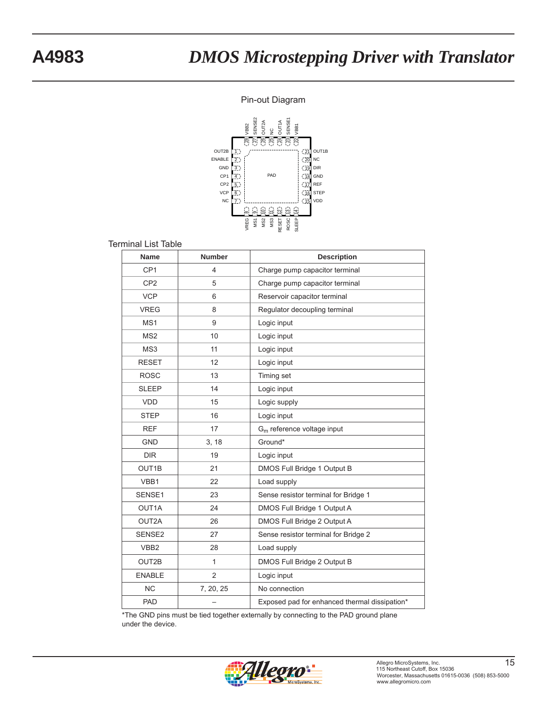#### Pin-out Diagram



#### Terminal List Table

| <b>Name</b>      | <b>Number</b>  | <b>Description</b>                            |
|------------------|----------------|-----------------------------------------------|
| CP <sub>1</sub>  | 4              | Charge pump capacitor terminal                |
| CP <sub>2</sub>  | 5              | Charge pump capacitor terminal                |
| <b>VCP</b>       | 6              | Reservoir capacitor terminal                  |
| <b>VREG</b>      | 8              | Regulator decoupling terminal                 |
| MS1              | 9              | Logic input                                   |
| MS <sub>2</sub>  | 10             | Logic input                                   |
| MS3              | 11             | Logic input                                   |
| <b>RESET</b>     | 12             | Logic input                                   |
| <b>ROSC</b>      | 13             | Timing set                                    |
| <b>SLEEP</b>     | 14             | Logic input                                   |
| <b>VDD</b>       | 15             | Logic supply                                  |
| <b>STEP</b>      | 16             | Logic input                                   |
| <b>REF</b>       | 17             | $Gm$ reference voltage input                  |
| <b>GND</b>       | 3, 18          | Ground*                                       |
| <b>DIR</b>       | 19             | Logic input                                   |
| OUT1B            | 21             | DMOS Full Bridge 1 Output B                   |
| VBB1             | 22             | Load supply                                   |
| SENSE1           | 23             | Sense resistor terminal for Bridge 1          |
| OUT1A            | 24             | DMOS Full Bridge 1 Output A                   |
| OUT2A            | 26             | DMOS Full Bridge 2 Output A                   |
| SENSE2           | 27             | Sense resistor terminal for Bridge 2          |
| VBB <sub>2</sub> | 28             | Load supply                                   |
| OUT2B            | $\mathbf{1}$   | DMOS Full Bridge 2 Output B                   |
| <b>ENABLE</b>    | $\overline{2}$ | Logic input                                   |
| <b>NC</b>        | 7, 20, 25      | No connection                                 |
| PAD              |                | Exposed pad for enhanced thermal dissipation* |

\*The GND pins must be tied together externally by connecting to the PAD ground plane under the device.